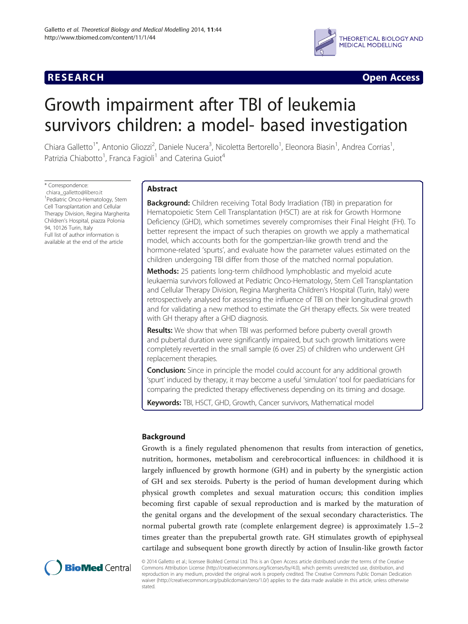# **RESEARCH CHINESE ARCH CHINESE ARCH CHINESE ARCH**



# Growth impairment after TBI of leukemia survivors children: a model- based investigation

Chiara Galletto<sup>1\*</sup>, Antonio Gliozzi<sup>2</sup>, Daniele Nucera<sup>3</sup>, Nicoletta Bertorello<sup>1</sup>, Eleonora Biasin<sup>1</sup>, Andrea Corrias<sup>1</sup> , Patrizia Chiabotto<sup>1</sup>, Franca Fagioli<sup>1</sup> and Caterina Guiot<sup>4</sup>

\* Correspondence: [chiara\\_galletto@libero.it](mailto:chiara_galletto@libero.it) 1 Pediatric Onco-Hematology, Stem Cell Transplantation and Cellular Therapy Division, Regina Margherita Children's Hospital, piazza Polonia 94, 10126 Turin, Italy Full list of author information is available at the end of the article

# Abstract

**Background:** Children receiving Total Body Irradiation (TBI) in preparation for Hematopoietic Stem Cell Transplantation (HSCT) are at risk for Growth Hormone Deficiency (GHD), which sometimes severely compromises their Final Height (FH). To better represent the impact of such therapies on growth we apply a mathematical model, which accounts both for the gompertzian-like growth trend and the hormone-related 'spurts', and evaluate how the parameter values estimated on the children undergoing TBI differ from those of the matched normal population.

Methods: 25 patients long-term childhood lymphoblastic and myeloid acute leukaemia survivors followed at Pediatric Onco-Hematology, Stem Cell Transplantation and Cellular Therapy Division, Regina Margherita Children's Hospital (Turin, Italy) were retrospectively analysed for assessing the influence of TBI on their longitudinal growth and for validating a new method to estimate the GH therapy effects. Six were treated with GH therapy after a GHD diagnosis.

**Results:** We show that when TBI was performed before puberty overall growth and pubertal duration were significantly impaired, but such growth limitations were completely reverted in the small sample (6 over 25) of children who underwent GH replacement therapies.

**Conclusion:** Since in principle the model could account for any additional growth 'spurt' induced by therapy, it may become a useful 'simulation' tool for paediatricians for comparing the predicted therapy effectiveness depending on its timing and dosage.

Keywords: TBI, HSCT, GHD, Growth, Cancer survivors, Mathematical model

# Background

Growth is a finely regulated phenomenon that results from interaction of genetics, nutrition, hormones, metabolism and cerebrocortical influences: in childhood it is largely influenced by growth hormone (GH) and in puberty by the synergistic action of GH and sex steroids. Puberty is the period of human development during which physical growth completes and sexual maturation occurs; this condition implies becoming first capable of sexual reproduction and is marked by the maturation of the genital organs and the development of the sexual secondary characteristics. The normal pubertal growth rate (complete enlargement degree) is approximately 1.5–2 times greater than the prepubertal growth rate. GH stimulates growth of epiphyseal cartilage and subsequent bone growth directly by action of Insulin-like growth factor



© 2014 Galletto et al.; licensee BioMed Central Ltd. This is an Open Access article distributed under the terms of the Creative Commons Attribution License [\(http://creativecommons.org/licenses/by/4.0\)](http://creativecommons.org/licenses/by/4.0), which permits unrestricted use, distribution, and reproduction in any medium, provided the original work is properly credited. The Creative Commons Public Domain Dedication waiver [\(http://creativecommons.org/publicdomain/zero/1.0/\)](http://creativecommons.org/publicdomain/zero/1.0/) applies to the data made available in this article, unless otherwise stated.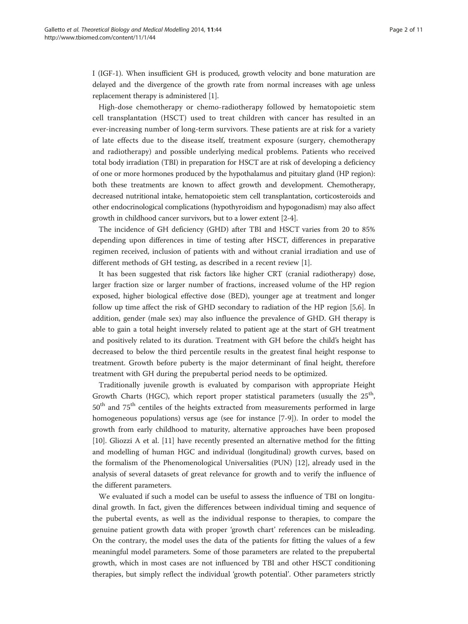I (IGF-1). When insufficient GH is produced, growth velocity and bone maturation are delayed and the divergence of the growth rate from normal increases with age unless replacement therapy is administered [\[1](#page-10-0)].

High-dose chemotherapy or chemo-radiotherapy followed by hematopoietic stem cell transplantation (HSCT) used to treat children with cancer has resulted in an ever-increasing number of long-term survivors. These patients are at risk for a variety of late effects due to the disease itself, treatment exposure (surgery, chemotherapy and radiotherapy) and possible underlying medical problems. Patients who received total body irradiation (TBI) in preparation for HSCT are at risk of developing a deficiency of one or more hormones produced by the hypothalamus and pituitary gland (HP region): both these treatments are known to affect growth and development. Chemotherapy, decreased nutritional intake, hematopoietic stem cell transplantation, corticosteroids and other endocrinological complications (hypothyroidism and hypogonadism) may also affect growth in childhood cancer survivors, but to a lower extent [[2-4\]](#page-10-0).

The incidence of GH deficiency (GHD) after TBI and HSCT varies from 20 to 85% depending upon differences in time of testing after HSCT, differences in preparative regimen received, inclusion of patients with and without cranial irradiation and use of different methods of GH testing, as described in a recent review [[1\]](#page-10-0).

It has been suggested that risk factors like higher CRT (cranial radiotherapy) dose, larger fraction size or larger number of fractions, increased volume of the HP region exposed, higher biological effective dose (BED), younger age at treatment and longer follow up time affect the risk of GHD secondary to radiation of the HP region [\[5,6](#page-10-0)]. In addition, gender (male sex) may also influence the prevalence of GHD. GH therapy is able to gain a total height inversely related to patient age at the start of GH treatment and positively related to its duration. Treatment with GH before the child's height has decreased to below the third percentile results in the greatest final height response to treatment. Growth before puberty is the major determinant of final height, therefore treatment with GH during the prepubertal period needs to be optimized.

Traditionally juvenile growth is evaluated by comparison with appropriate Height Growth Charts (HGC), which report proper statistical parameters (usually the  $25<sup>th</sup>$ , 50<sup>th</sup> and 75<sup>th</sup> centiles of the heights extracted from measurements performed in large homogeneous populations) versus age (see for instance [[7-9](#page-10-0)]). In order to model the growth from early childhood to maturity, alternative approaches have been proposed [[10\]](#page-10-0). Gliozzi A et al. [\[11\]](#page-10-0) have recently presented an alternative method for the fitting and modelling of human HGC and individual (longitudinal) growth curves, based on the formalism of the Phenomenological Universalities (PUN) [[12\]](#page-10-0), already used in the analysis of several datasets of great relevance for growth and to verify the influence of the different parameters.

We evaluated if such a model can be useful to assess the influence of TBI on longitudinal growth. In fact, given the differences between individual timing and sequence of the pubertal events, as well as the individual response to therapies, to compare the genuine patient growth data with proper 'growth chart' references can be misleading. On the contrary, the model uses the data of the patients for fitting the values of a few meaningful model parameters. Some of those parameters are related to the prepubertal growth, which in most cases are not influenced by TBI and other HSCT conditioning therapies, but simply reflect the individual 'growth potential'. Other parameters strictly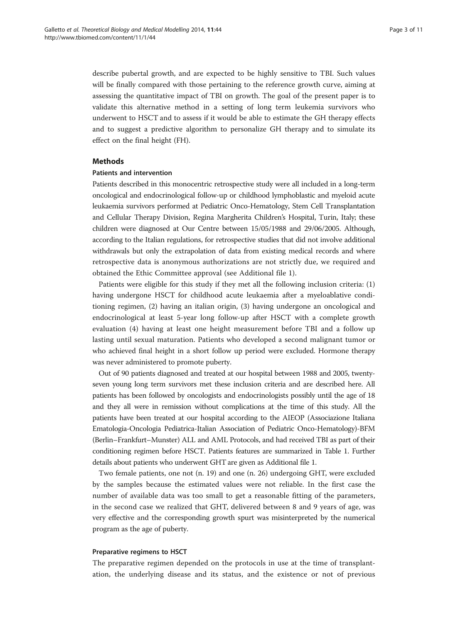describe pubertal growth, and are expected to be highly sensitive to TBI. Such values will be finally compared with those pertaining to the reference growth curve, aiming at assessing the quantitative impact of TBI on growth. The goal of the present paper is to validate this alternative method in a setting of long term leukemia survivors who underwent to HSCT and to assess if it would be able to estimate the GH therapy effects and to suggest a predictive algorithm to personalize GH therapy and to simulate its effect on the final height (FH).

### Methods

### Patients and intervention

Patients described in this monocentric retrospective study were all included in a long-term oncological and endocrinological follow-up or childhood lymphoblastic and myeloid acute leukaemia survivors performed at Pediatric Onco-Hematology, Stem Cell Transplantation and Cellular Therapy Division, Regina Margherita Children's Hospital, Turin, Italy; these children were diagnosed at Our Centre between 15/05/1988 and 29/06/2005. Although, according to the Italian regulations, for retrospective studies that did not involve additional withdrawals but only the extrapolation of data from existing medical records and where retrospective data is anonymous authorizations are not strictly due, we required and obtained the Ethic Committee approval (see Additional file [1](#page-9-0)).

Patients were eligible for this study if they met all the following inclusion criteria: (1) having undergone HSCT for childhood acute leukaemia after a myeloablative conditioning regimen, (2) having an italian origin, (3) having undergone an oncological and endocrinological at least 5-year long follow-up after HSCT with a complete growth evaluation (4) having at least one height measurement before TBI and a follow up lasting until sexual maturation. Patients who developed a second malignant tumor or who achieved final height in a short follow up period were excluded. Hormone therapy was never administered to promote puberty.

Out of 90 patients diagnosed and treated at our hospital between 1988 and 2005, twentyseven young long term survivors met these inclusion criteria and are described here. All patients has been followed by oncologists and endocrinologists possibly until the age of 18 and they all were in remission without complications at the time of this study. All the patients have been treated at our hospital according to the AIEOP (Associazione Italiana Ematologia-Oncologia Pediatrica-Italian Association of Pediatric Onco-Hematology)-BFM (Berlin–Frankfurt–Munster) ALL and AML Protocols, and had received TBI as part of their conditioning regimen before HSCT. Patients features are summarized in Table [1](#page-3-0). Further details about patients who underwent GHT are given as Additional file [1](#page-9-0).

Two female patients, one not (n. 19) and one (n. 26) undergoing GHT, were excluded by the samples because the estimated values were not reliable. In the first case the number of available data was too small to get a reasonable fitting of the parameters, in the second case we realized that GHT, delivered between 8 and 9 years of age, was very effective and the corresponding growth spurt was misinterpreted by the numerical program as the age of puberty.

#### Preparative regimens to HSCT

The preparative regimen depended on the protocols in use at the time of transplantation, the underlying disease and its status, and the existence or not of previous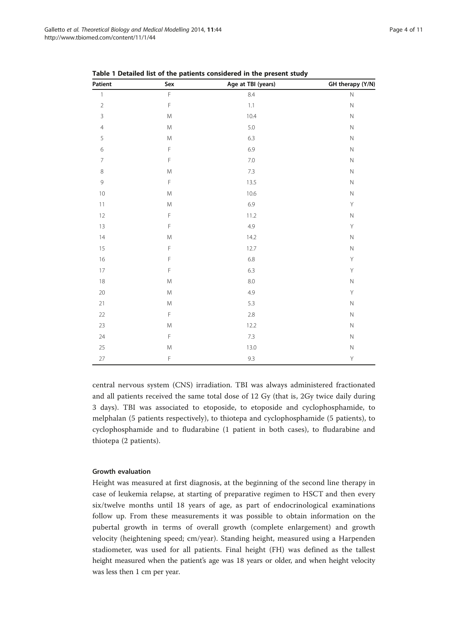| Patient                  | Sex                                                                                                        | Age at TBI (years) | GH therapy (Y/N) |
|--------------------------|------------------------------------------------------------------------------------------------------------|--------------------|------------------|
| $\mathbf{1}$             | $\bar{\mathsf{F}}$                                                                                         | 8.4                | $\hbox{N}$       |
| $\sqrt{2}$               | $\mathsf F$                                                                                                | $1.1\,$            | $\hbox{N}$       |
| $\overline{3}$           | ${\sf M}$                                                                                                  | 10.4               | $\hbox{N}$       |
| $\overline{4}$           | ${\sf M}$                                                                                                  | 5.0                | $\hbox{N}$       |
| 5                        | $\mathsf{M}% _{T}=\mathsf{M}_{T}\!\left( a,b\right) ,\ \mathsf{M}_{T}=\mathsf{M}_{T}\!\left( a,b\right) ,$ | 6.3                | $\hbox{N}$       |
| $\overline{6}$           | $\mathsf F$                                                                                                | 6.9                | $\hbox{N}$       |
| $\overline{\phantom{a}}$ | $\mathsf F$                                                                                                | 7.0                | $\hbox{N}$       |
| $\,8\,$                  | ${\sf M}$                                                                                                  | 7.3                | $\hbox{N}$       |
| $\mathsf 9$              | $\mathsf F$                                                                                                | 13.5               | $\hbox{N}$       |
| 10                       | ${\sf M}$                                                                                                  | 10.6               | $\hbox{N}$       |
| 11                       | ${\sf M}$                                                                                                  | 6.9                | Y                |
| 12                       | $\mathsf F$                                                                                                | 11.2               | $\hbox{N}$       |
| $13$                     | $\mathsf F$                                                                                                | 4.9                | Υ                |
| $14\,$                   | $\mathsf{M}% _{T}=\mathsf{M}_{T}\!\left( a,b\right) ,\ \mathsf{M}_{T}=\mathsf{M}_{T}\!\left( a,b\right) ,$ | 14.2               | $\hbox{N}$       |
| 15                       | $\mathsf F$                                                                                                | 12.7               | $\hbox{N}$       |
| 16                       | $\mathsf F$                                                                                                | 6.8                | Y                |
| $17\,$                   | $\mathsf F$                                                                                                | 6.3                | $\mathsf Y$      |
| $18\,$                   | ${\sf M}$                                                                                                  | 8.0                | $\hbox{N}$       |
| $20\,$                   | $\mathsf{M}% _{T}=\mathsf{M}_{T}\!\left( a,b\right) ,\ \mathsf{M}_{T}=\mathsf{M}_{T}\!\left( a,b\right) ,$ | 4.9                | Y                |
| 21                       | ${\sf M}$                                                                                                  | 5.3                | $\hbox{N}$       |
| $22\,$                   | $\mathsf F$                                                                                                | $2.8\,$            | $\hbox{N}$       |
| 23                       | ${\sf M}$                                                                                                  | 12.2               | $\hbox{N}$       |
| 24                       | $\bar{\mathsf{F}}$                                                                                         | 7.3                | $\hbox{N}$       |
| 25                       | $\mathsf{M}% _{T}=\mathsf{M}_{T}\!\left( a,b\right) ,\ \mathsf{M}_{T}=\mathsf{M}_{T}\!\left( a,b\right) ,$ | 13.0               | $\hbox{N}$       |
| $27\,$                   | $\mathsf F$                                                                                                | 9.3                | Υ                |

<span id="page-3-0"></span>Table 1 Detailed list of the patients considered in the present study

central nervous system (CNS) irradiation. TBI was always administered fractionated and all patients received the same total dose of 12 Gy (that is, 2Gy twice daily during 3 days). TBI was associated to etoposide, to etoposide and cyclophosphamide, to melphalan (5 patients respectively), to thiotepa and cyclophosphamide (5 patients), to cyclophosphamide and to fludarabine (1 patient in both cases), to fludarabine and thiotepa (2 patients).

# Growth evaluation

Height was measured at first diagnosis, at the beginning of the second line therapy in case of leukemia relapse, at starting of preparative regimen to HSCT and then every six/twelve months until 18 years of age, as part of endocrinological examinations follow up. From these measurements it was possible to obtain information on the pubertal growth in terms of overall growth (complete enlargement) and growth velocity (heightening speed; cm/year). Standing height, measured using a Harpenden stadiometer, was used for all patients. Final height (FH) was defined as the tallest height measured when the patient's age was 18 years or older, and when height velocity was less then 1 cm per year.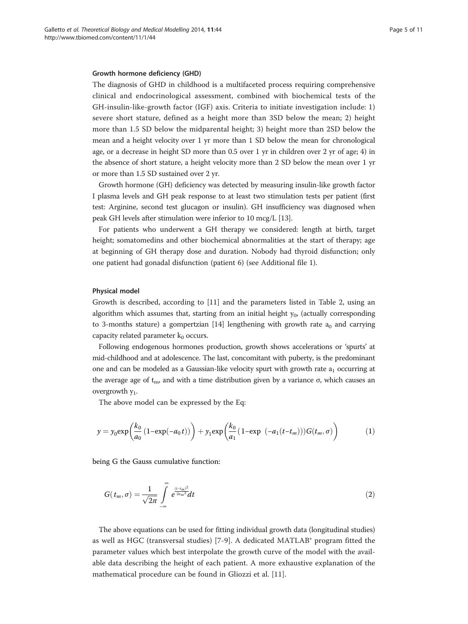#### Growth hormone deficiency (GHD)

The diagnosis of GHD in childhood is a multifaceted process requiring comprehensive clinical and endocrinological assessment, combined with biochemical tests of the GH-insulin-like-growth factor (IGF) axis. Criteria to initiate investigation include: 1) severe short stature, defined as a height more than 3SD below the mean; 2) height more than 1.5 SD below the midparental height; 3) height more than 2SD below the mean and a height velocity over 1 yr more than 1 SD below the mean for chronological age, or a decrease in height SD more than 0.5 over 1 yr in children over 2 yr of age; 4) in the absence of short stature, a height velocity more than 2 SD below the mean over 1 yr or more than 1.5 SD sustained over 2 yr.

Growth hormone (GH) deficiency was detected by measuring insulin-like growth factor I plasma levels and GH peak response to at least two stimulation tests per patient (first test: Arginine, second test glucagon or insulin). GH insufficiency was diagnosed when peak GH levels after stimulation were inferior to 10 mcg/L [[13](#page-10-0)].

For patients who underwent a GH therapy we considered: length at birth, target height; somatomedins and other biochemical abnormalities at the start of therapy; age at beginning of GH therapy dose and duration. Nobody had thyroid disfunction; only one patient had gonadal disfunction (patient 6) (see Additional file [1\)](#page-9-0).

#### Physical model

Growth is described, according to [[11](#page-10-0)] and the parameters listed in Table [2](#page-5-0), using an algorithm which assumes that, starting from an initial height  $y_0$ , (actually corresponding to 3-months stature) a gompertzian [[14](#page-10-0)] lengthening with growth rate  $a_0$  and carrying capacity related parameter  $k_0$  occurs.

Following endogenous hormones production, growth shows accelerations or 'spurts' at mid-childhood and at adolescence. The last, concomitant with puberty, is the predominant one and can be modeled as a Gaussian-like velocity spurt with growth rate  $a_1$  occurring at the average age of  $t<sub>m</sub>$ , and with a time distribution given by a variance σ, which causes an overgrowth  $v_1$ .

The above model can be expressed by the Eq:

$$
y = y_0 \exp\left(\frac{k_0}{a_0} \left(1 - \exp(-a_0 t)\right)\right) + y_1 \exp\left(\frac{k_0}{a_1} \left(1 - \exp\left(-a_1 (t - t_m)\right)\right) G(t_m, \sigma)\right) \tag{1}
$$

being G the Gauss cumulative function:

$$
G(t_m, \sigma) = \frac{1}{\sqrt{2\pi}} \int_{-\infty}^{\infty} e^{\frac{(t - t_m)^2}{2\sigma_m^2}} dt
$$
 (2)

The above equations can be used for fitting individual growth data (longitudinal studies) as well as HGC (transversal studies) [[7-9](#page-10-0)]. A dedicated MATLAB® program fitted the parameter values which best interpolate the growth curve of the model with the available data describing the height of each patient. A more exhaustive explanation of the mathematical procedure can be found in Gliozzi et al. [[11](#page-10-0)].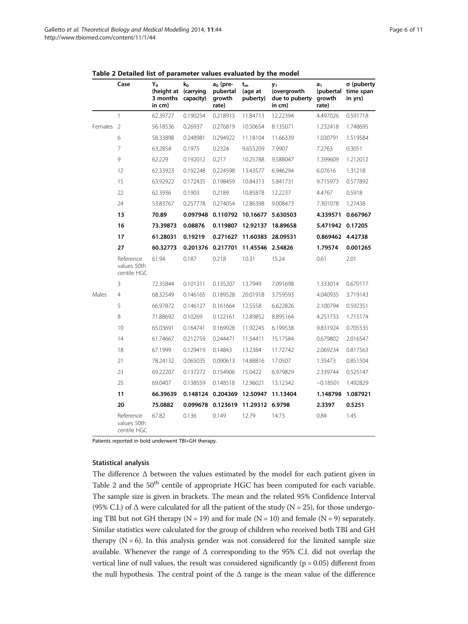|         | Case                                    | Y <sub>o</sub><br>(height at (carrying<br>3 months<br>in cm) | $k_0$<br>capacity) | a <sub>o</sub> (pre-<br>pubertal<br>growth<br>rate) | $t_m$<br>(age at<br>puberty) | y <sub>1</sub><br>(overgrowth<br>due to puberty<br>in cm) | a <sub>1</sub><br>(pubertal<br>growth<br>rate) | σ (puberty<br>time span<br>in yrs) |
|---------|-----------------------------------------|--------------------------------------------------------------|--------------------|-----------------------------------------------------|------------------------------|-----------------------------------------------------------|------------------------------------------------|------------------------------------|
|         | $\mathbf{1}$                            | 62.39727                                                     | 0.190254           | 0.218913                                            | 11.84713                     | 12.22394                                                  | 4.497026                                       | 0.591718                           |
| Females | $\overline{2}$                          | 56.18536                                                     | 0.26937            | 0.276819                                            | 10.50654                     | 8.135071                                                  | 1.232418                                       | 1.748695                           |
|         | 6                                       | 58.33898                                                     | 0.248981           | 0.294922                                            | 11.18104                     | 11.66339                                                  | 1.030791                                       | 1.519584                           |
|         | 7                                       | 63.2854                                                      | 0.1975             | 0.2324                                              | 9.655209                     | 7.9907                                                    | 7.2763                                         | 0.3051                             |
|         | 9                                       | 62.229                                                       | 0.192012           | 0.217                                               | 10.25788                     | 9.588047                                                  | 1.399609                                       | 1.212012                           |
|         | 12                                      | 62.33923                                                     | 0.192248           | 0.224598                                            | 13.43577                     | 6.946294                                                  | 6.07616                                        | 1.31218                            |
|         | 15                                      | 63.92922                                                     | 0.172435           | 0.198459                                            | 10.84313                     | 5.841731                                                  | 9.715973                                       | 0.577892                           |
|         | 22                                      | 62.3936                                                      | 0.1903             | 0.2189                                              | 10.85878                     | 12.2237                                                   | 4.4767                                         | 0.5918                             |
|         | 24                                      | 53.83767                                                     | 0.257778           | 0.274054                                            | 12.86398                     | 9.008473                                                  | 7.301078                                       | 1.27438                            |
|         | 13                                      | 70.89                                                        | 0.097948           | 0.110792                                            | 10.16677                     | 5.630503                                                  | 4.339571                                       | 0.667967                           |
|         | 16                                      | 73.39873                                                     | 0.08876            | 0.119807                                            | 12.92137                     | 18.89658                                                  | 5.471942                                       | 0.17205                            |
|         | 17                                      | 61.28031                                                     | 0.19219            | 0.271627                                            | 11.60383                     | 28.09531                                                  | 0.869462                                       | 4.42738                            |
|         | 27                                      | 60.32773                                                     | 0.201376           | 0.217701                                            | 11.45546 2.54826             |                                                           | 1.79574                                        | 0.001265                           |
|         | Reference<br>values 50th<br>centile HGC | 61.94                                                        | 0.187              | 0.218                                               | 10.31                        | 15.24                                                     | 0.61                                           | 2.01                               |
|         | 3                                       | 72.35844                                                     | 0.101311           | 0.135207                                            | 13.7949                      | 7.091698                                                  | 1.333014                                       | 0.670117                           |
| Males   | 4                                       | 68.32549                                                     | 0.146165           | 0.189528                                            | 20.01918                     | 3.759593                                                  | 4.040935                                       | 3.719143                           |
|         | 5                                       | 66.97872                                                     | 0.146127           | 0.161664                                            | 12.5558                      | 6.622826                                                  | 2.100794                                       | 0.592351                           |
|         | 8                                       | 71.88692                                                     | 0.10269            | 0.122161                                            | 12.89852                     | 8.895164                                                  | 4.251733                                       | 1.715174                           |
|         | 10                                      | 65.03691                                                     | 0.164741           | 0.169928                                            | 11.92245                     | 6.199538                                                  | 9.831924                                       | 0.705535                           |
|         | 14                                      | 61.74667                                                     | 0.212759           | 0.244471                                            | 11.54411                     | 15.17584                                                  | 0.679802                                       | 2.016547                           |
|         | 18                                      | 67.1999                                                      | 0.129419           | 0.14843                                             | 13.2384                      | 11.72742                                                  | 2.069234                                       | 0.817563                           |
|         | 21                                      | 78.24132                                                     | 0.065035           | 0.090613                                            | 14.88816                     | 17.0507                                                   | 1.35473                                        | 0.851504                           |
|         | 23                                      | 69.22207                                                     | 0.137272           | 0.154906                                            | 15.0422                      | 6.979829                                                  | 2.339744                                       | 0.525147                           |
|         | 25                                      | 69.0407                                                      | 0.138559           | 0.148518                                            | 12.96021                     | 13.12342                                                  | $-0.18501$                                     | 1.492829                           |
|         | 11                                      | 66.39639                                                     | 0.148124           | 0.204369                                            | 12.50947                     | 11.13404                                                  | 1.148798                                       | 1.087921                           |
|         | 20                                      | 75.0882                                                      | 0.099678           | 0.123619                                            | 11.29312 6.9798              |                                                           | 2.3397                                         | 0.5251                             |
|         | Reference<br>values 50th<br>centile HGC | 67.82                                                        | 0.136              | 0.149                                               | 12.79                        | 14.73                                                     | 0.84                                           | 1.45                               |

<span id="page-5-0"></span>Table 2 Detailed list of parameter values evaluated by the model

Patients reported in bold underwent TBI+GH therapy.

#### Statistical analysis

The difference Δ between the values estimated by the model for each patient given in Table 2 and the  $50<sup>th</sup>$  centile of appropriate HGC has been computed for each variable. The sample size is given in brackets. The mean and the related 95% Confidence Interval (95% C.I.) of  $\Delta$  were calculated for all the patient of the study (N = 25), for those undergoing TBI but not GH therapy ( $N = 19$ ) and for male ( $N = 10$ ) and female ( $N = 9$ ) separately. Similar statistics were calculated for the group of children who received both TBI and GH therapy  $(N = 6)$ . In this analysis gender was not considered for the limited sample size available. Whenever the range of Δ corresponding to the 95% C.I. did not overlap the vertical line of null values, the result was considered significantly ( $p = 0.05$ ) different from the null hypothesis. The central point of the Δ range is the mean value of the difference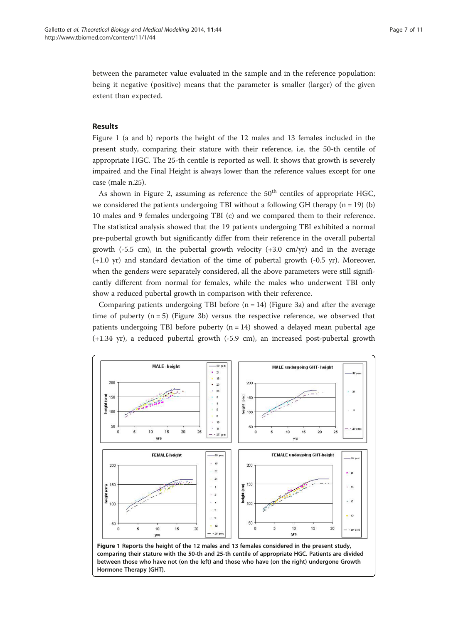between the parameter value evaluated in the sample and in the reference population: being it negative (positive) means that the parameter is smaller (larger) of the given extent than expected.

# Results

Figure 1 (a and b) reports the height of the 12 males and 13 females included in the present study, comparing their stature with their reference, i.e. the 50-th centile of appropriate HGC. The 25-th centile is reported as well. It shows that growth is severely impaired and the Final Height is always lower than the reference values except for one case (male n.25).

As shown in Figure [2](#page-7-0), assuming as reference the  $50<sup>th</sup>$  centiles of appropriate HGC, we considered the patients undergoing TBI without a following GH therapy  $(n = 19)$  (b) 10 males and 9 females undergoing TBI (c) and we compared them to their reference. The statistical analysis showed that the 19 patients undergoing TBI exhibited a normal pre-pubertal growth but significantly differ from their reference in the overall pubertal growth  $(-5.5 \text{ cm})$ , in the pubertal growth velocity  $(+3.0 \text{ cm/yr})$  and in the average (+1.0 yr) and standard deviation of the time of pubertal growth (-0.5 yr). Moreover, when the genders were separately considered, all the above parameters were still significantly different from normal for females, while the males who underwent TBI only show a reduced pubertal growth in comparison with their reference.

Comparing patients undergoing TBI before  $(n = 14)$  (Figure [3a](#page-7-0)) and after the average time of puberty  $(n = 5)$  (Figure [3b](#page-7-0)) versus the respective reference, we observed that patients undergoing TBI before puberty (n = 14) showed a delayed mean pubertal age (+1.34 yr), a reduced pubertal growth (-5.9 cm), an increased post-pubertal growth

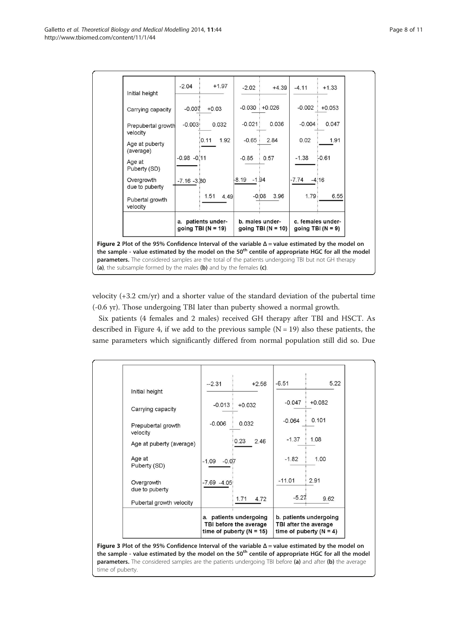<span id="page-7-0"></span>

velocity (+3.2 cm/yr) and a shorter value of the standard deviation of the pubertal time (-0.6 yr). Those undergoing TBI later than puberty showed a normal growth.

Six patients (4 females and 2 males) received GH therapy after TBI and HSCT. As described in Figure [4](#page-8-0), if we add to the previous sample  $(N = 19)$  also these patients, the same parameters which significantly differed from normal population still did so. Due

| Carrying capacity              | $-0.013$                                                                       |          |                                                                              |          |          |
|--------------------------------|--------------------------------------------------------------------------------|----------|------------------------------------------------------------------------------|----------|----------|
|                                |                                                                                | $+0.032$ |                                                                              | $-0.047$ | $+0.082$ |
| Prepubertal growth<br>velocity | $-0.006$                                                                       | 0.032    |                                                                              | $-0.064$ | 0.101    |
| Age at puberty (average)       |                                                                                | 0.23     | 2.46                                                                         | $-1.37$  | 1.08     |
| Age at<br>Puberty (SD)         | $-1.09$<br>$-0.07$                                                             |          |                                                                              | $-1.82$  | 1.00     |
| Overgrowth<br>due to puberty   | $-7.69 - 4.05$                                                                 |          |                                                                              | $-11.01$ | 2.91     |
| Pubertal growth velocity       |                                                                                | 1.71     | 4.72                                                                         | $-5.27$  | 9.62     |
|                                | a. patients undergoing<br>TBI before the average<br>time of puberty $(N = 15)$ |          | b. patients undergoing<br>TBI after the average<br>time of puberty $(N = 4)$ |          |          |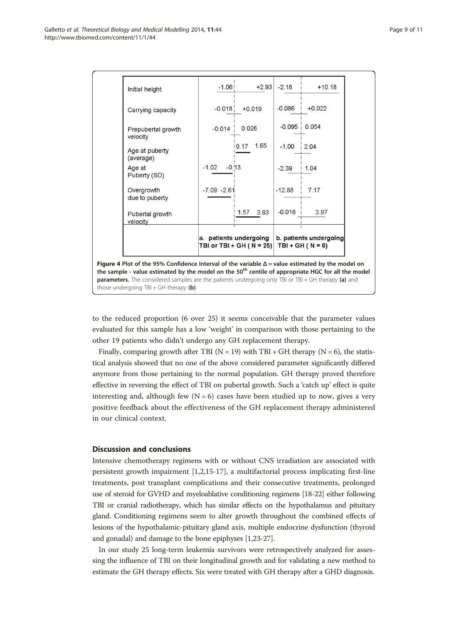<span id="page-8-0"></span>

| Initial height                                                                                                                                                                                                            | $-1.06$                                            | $+2.93$      | $-2.18$                                        | $+10.18$ |
|---------------------------------------------------------------------------------------------------------------------------------------------------------------------------------------------------------------------------|----------------------------------------------------|--------------|------------------------------------------------|----------|
| Carrying capacity                                                                                                                                                                                                         | $-0.018$                                           | $+0.019$     | $-0.086$                                       | $+0.022$ |
| Prepubertal growth<br>velocity                                                                                                                                                                                            | $-0.014$                                           | 0.026        | $-0.095$                                       | 0.054    |
| Age at puberty<br>(average)                                                                                                                                                                                               |                                                    | 1.65<br>0.17 | $-1.00$                                        | 2.04     |
| Age at<br>Puberty (SD)                                                                                                                                                                                                    | $-1.02$<br>$-0.13$                                 |              | $-2.39$                                        | 1.04     |
| Overgrowth<br>due to puberty                                                                                                                                                                                              | $-7.09 - 2.61$                                     |              | $-12.88$                                       | 7.17     |
| Pubertal growth<br>velocity                                                                                                                                                                                               |                                                    | 1.57<br>3.93 | $-0.016$                                       | 3.97     |
|                                                                                                                                                                                                                           | a. patients undergoing<br>TBI or TBI + GH (N = 25) |              | b. patients undergoing<br>TBI + GH ( $N = 6$ ) |          |
| Figure 4 Plot of the 95% Confidence Interval of the variable $\Delta$ = value estimated by the model on<br>the sample - value estimated by the model on the 50 <sup>th</sup> centile of appropriate HGC for all the model |                                                    |              |                                                |          |
| parameters. The considered samples are the patients undergoing only TBI or TBI + GH therapy (a) and<br>those undergoing $TBI + GH$ therapy (b).                                                                           |                                                    |              |                                                |          |

to the reduced proportion (6 over 25) it seems conceivable that the parameter values evaluated for this sample has a low 'weight' in comparison with those pertaining to the other 19 patients who didn't undergo any GH replacement therapy.

Finally, comparing growth after TBI ( $N = 19$ ) with TBI + GH therapy ( $N = 6$ ), the statistical analysis showed that no one of the above considered parameter significantly differed anymore from those pertaining to the normal population. GH therapy proved therefore effective in reversing the effect of TBI on pubertal growth. Such a 'catch up' effect is quite interesting and, although few  $(N = 6)$  cases have been studied up to now, gives a very positive feedback about the effectiveness of the GH replacement therapy administered in our clinical context.

# Discussion and conclusions

Intensive chemotherapy regimens with or without CNS irradiation are associated with persistent growth impairment [[1](#page-10-0),[2](#page-10-0),[15](#page-10-0)-[17\]](#page-10-0), a multifactorial process implicating first-line treatments, post transplant complications and their consecutive treatments, prolonged use of steroid for GVHD and myeloablative conditioning regimens [[18-22\]](#page-10-0) either following TBI or cranial radiotherapy, which has similar effects on the hypothalamus and pituitary gland. Conditioning regimens seem to alter growth throughout the combined effects of lesions of the hypothalamic-pituitary gland axis, multiple endocrine dysfunction (thyroid and gonadal) and damage to the bone epiphyses [\[1,23-27\]](#page-10-0).

In our study 25 long-term leukemia survivors were retrospectively analyzed for assessing the influence of TBI on their longitudinal growth and for validating a new method to estimate the GH therapy effects. Six were treated with GH therapy after a GHD diagnosis.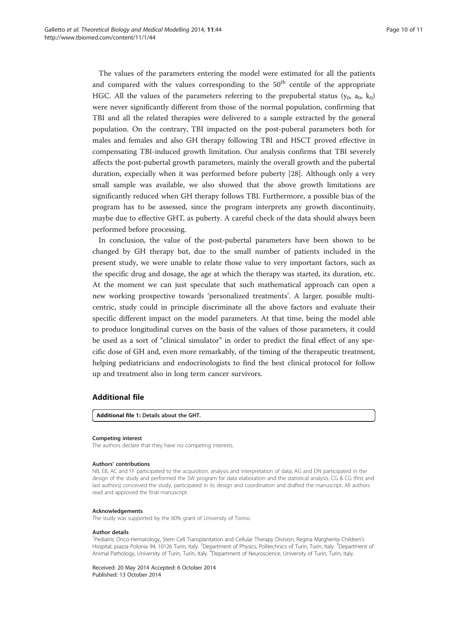<span id="page-9-0"></span>The values of the parameters entering the model were estimated for all the patients and compared with the values corresponding to the  $50<sup>th</sup>$  centile of the appropriate HGC. All the values of the parameters referring to the prepubertal status  $(y_0, a_0, k_0)$ were never significantly different from those of the normal population, confirming that TBI and all the related therapies were delivered to a sample extracted by the general population. On the contrary, TBI impacted on the post-puberal parameters both for males and females and also GH therapy following TBI and HSCT proved effective in compensating TBI-induced growth limitation. Our analysis confirms that TBI severely affects the post-pubertal growth parameters, mainly the overall growth and the pubertal duration, expecially when it was performed before puberty [\[28\]](#page-10-0). Although only a very small sample was available, we also showed that the above growth limitations are significantly reduced when GH therapy follows TBI. Furthermore, a possible bias of the program has to be assessed, since the program interprets any growth discontinuity, maybe due to effective GHT, as puberty. A careful check of the data should always been performed before processing.

In conclusion, the value of the post-pubertal parameters have been shown to be changed by GH therapy but, due to the small number of patients included in the present study, we were unable to relate those value to very important factors, such as the specific drug and dosage, the age at which the therapy was started, its duration, etc. At the moment we can just speculate that such mathematical approach can open a new working prospective towards 'personalized treatments'. A larger, possible multicentric, study could in principle discriminate all the above factors and evaluate their specific different impact on the model parameters. At that time, being the model able to produce longitudinal curves on the basis of the values of those parameters, it could be used as a sort of "clinical simulator" in order to predict the final effect of any specific dose of GH and, even more remarkably, of the timing of the therapeutic treatment, helping pediatricians and endocrinologists to find the best clinical protocol for follow up and treatment also in long term cancer survivors.

# Additional file

[Additional file 1:](http://www.biomedcentral.com/content/supplementary/1742-4682-11-44-S1.doc) Details about the GHT.

#### Competing interest

The authors declare that they have no competing interests.

#### Authors' contributions

NB, EB, AC and FF participated to the acquisition, analysis and interpretation of data; AG and DN participated in the design of the study and performed the SW program for data elaboration and the statistical analysis, CG & CG (first and last authors) conceived the study, participated in its design and coordination and drafted the manuscript. All authors read and approved the final manuscript.

#### Acknowledgements

The study was supported by the 60% grant of University of Torino.

#### Author details

<sup>1</sup>Pediatric Onco-Hematology, Stem Cell Transplantation and Cellular Therapy Division, Regina Margherita Children's Hospital, piazza Polonia 94, 10126 Turin, Italy. <sup>2</sup>Department of Physics, Politechnics of Turin, Turin, Italy. <sup>3</sup>Department of Animal Pathology, University of Turin, Turin, Italy. <sup>4</sup>Department of Neuroscience, University of Turin, Turin, Italy.

Received: 20 May 2014 Accepted: 6 October 2014 Published: 13 October 2014